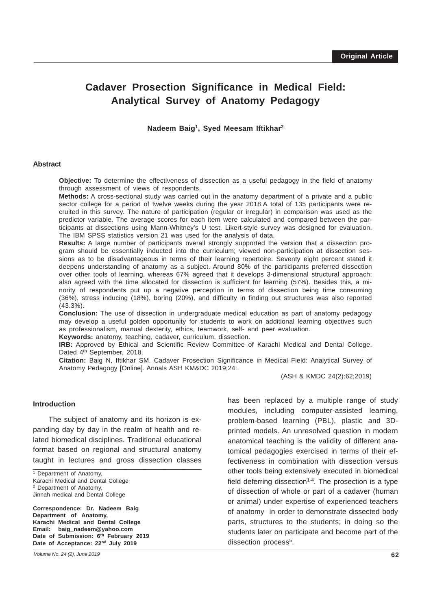# **Cadaver Prosection Significance in Medical Field: Analytical Survey of Anatomy Pedagogy**

**Nadeem Baig1, Syed Meesam Iftikhar2**

#### **Abstract**

**Objective:** To determine the effectiveness of dissection as a useful pedagogy in the field of anatomy through assessment of views of respondents.

**Methods:** A cross-sectional study was carried out in the anatomy department of a private and a public sector college for a period of twelve weeks during the year 2018.A total of 135 participants were recruited in this survey. The nature of participation (regular or irregular) in comparison was used as the predictor variable. The average scores for each item were calculated and compared between the participants at dissections using Mann-Whitney's U test. Likert-style survey was designed for evaluation. The IBM SPSS statistics version 21 was used for the analysis of data.

**Results:** A large number of participants overall strongly supported the version that a dissection program should be essentially inducted into the curriculum; viewed non-participation at dissection sessions as to be disadvantageous in terms of their learning repertoire. Seventy eight percent stated it deepens understanding of anatomy as a subject. Around 80% of the participants preferred dissection over other tools of learning, whereas 67% agreed that it develops 3-dimensional structural approach; also agreed with the time allocated for dissection is sufficient for learning (57%). Besides this, a minority of respondents put up a negative perception in terms of dissection being time consuming (36%), stress inducing (18%), boring (20%), and difficulty in finding out structures was also reported (43.3%).

**Conclusion:** The use of dissection in undergraduate medical education as part of anatomy pedagogy may develop a useful golden opportunity for students to work on additional learning objectives such as professionalism, manual dexterity, ethics, teamwork, self- and peer evaluation.

**Keywords:** anatomy, teaching, cadaver, curriculum, dissection.

**IRB:** Approved by Ethical and Scientific Review Committee of Karachi Medical and Dental College. Dated 4<sup>th</sup> September, 2018.

**Citation:** Baig N, Iftikhar SM. Cadaver Prosection Significance in Medical Field: Analytical Survey of Anatomy Pedagogy [Online]. Annals ASH KM&DC 2019;24:.

(ASH & KMDC 24(2):62;2019)

#### **Introduction**

\_\_\_\_\_\_\_\_\_\_\_\_\_\_\_\_\_\_\_\_\_\_\_\_\_\_\_\_\_\_\_\_\_\_\_\_\_\_\_\_\_\_\_\_\_\_\_\_\_\_\_\_\_\_\_\_\_\_\_\_\_\_\_\_\_\_\_\_\_\_\_\_\_\_\_\_\_\_\_\_\_\_\_\_\_\_\_\_\_\_\_\_\_\_ The subject of anatomy and its horizon is expanding day by day in the realm of health and related biomedical disciplines. Traditional educational format based on regional and structural anatomy taught in lectures and gross dissection classes

**Correspondence: Dr. Nadeem Baig Department of Anatomy, Karachi Medical and Dental College Email: baig\_nadeem@yahoo.com Date of Submission: 6th February 2019 Date of Acceptance: 22nd July 2019**

has been replaced by a multiple range of study modules, including computer-assisted learning, problem-based learning (PBL), plastic and 3Dprinted models. An unresolved question in modern anatomical teaching is the validity of different anatomical pedagogies exercised in terms of their effectiveness in combination with dissection versus other tools being extensively executed in biomedical field deferring dissection<sup> $1-4$ </sup>. The prosection is a type of dissection of whole or part of a cadaver (human or animal) under expertise of experienced teachers of anatomy in order to demonstrate dissected body parts, structures to the students; in doing so the students later on participate and become part of the dissection process<sup>5</sup>.

<sup>&</sup>lt;sup>1</sup> Department of Anatomy, Karachi Medical and Dental College 2 Department of Anatomy, Jinnah medical and Dental College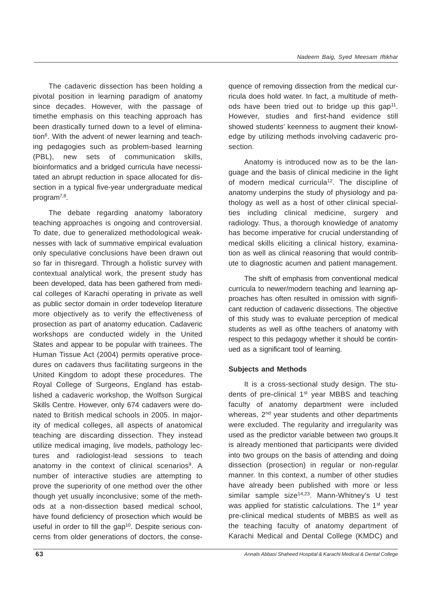The cadaveric dissection has been holding a pivotal position in learning paradigm of anatomy since decades. However, with the passage of timethe emphasis on this teaching approach has been drastically turned down to a level of elimination<sup>6</sup>. With the advent of newer learning and teaching pedagogies such as problem-based learning (PBL), new sets of communication skills, bioinformatics and a bridged curricula have necessitated an abrupt reduction in space allocated for dissection in a typical five-year undergraduate medical program7,8.

The debate regarding anatomy laboratory teaching approaches is ongoing and controversial. To date, due to generalized methodological weaknesses with lack of summative empirical evaluation only speculative conclusions have been drawn out so far in thisregard. Through a holistic survey with contextual analytical work, the present study has been developed, data has been gathered from medical colleges of Karachi operating in private as well as public sector domain in order todevelop literature more objectively as to verify the effectiveness of prosection as part of anatomy education. Cadaveric workshops are conducted widely in the United States and appear to be popular with trainees. The Human Tissue Act (2004) permits operative procedures on cadavers thus facilitating surgeons in the United Kingdom to adopt these procedures. The Royal College of Surgeons, England has established a cadaveric workshop, the Wolfson Surgical Skills Centre. However, only 674 cadavers were donated to British medical schools in 2005. In majority of medical colleges, all aspects of anatomical teaching are discarding dissection. They instead utilize medical imaging, live models, pathology lectures and radiologist-lead sessions to teach anatomy in the context of clinical scenarios<sup>9</sup>. A number of interactive studies are attempting to prove the superiority of one method over the other though yet usually inconclusive; some of the methods at a non-dissection based medical school, have found deficiency of prosection which would be useful in order to fill the gap<sup>10</sup>. Despite serious concerns from older generations of doctors, the consequence of removing dissection from the medical curricula does hold water. In fact, a multitude of methods have been tried out to bridge up this gap<sup>11</sup>. However, studies and first-hand evidence still showed students' keenness to augment their knowledge by utilizing methods involving cadaveric prosection.

Anatomy is introduced now as to be the language and the basis of clinical medicine in the light of modern medical curricula<sup>12</sup>. The discipline of anatomy underpins the study of physiology and pathology as well as a host of other clinical specialties including clinical medicine, surgery and radiology. Thus, a thorough knowledge of anatomy has become imperative for crucial understanding of medical skills eliciting a clinical history, examination as well as clinical reasoning that would contribute to diagnostic acumen and patient management.

The shift of emphasis from conventional medical curricula to newer/modern teaching and learning approaches has often resulted in omission with significant reduction of cadaveric dissections. The objective of this study was to evaluate perception of medical students as well as ofthe teachers of anatomy with respect to this pedagogy whether it should be continued as a significant tool of learning.

# **Subjects and Methods**

It is a cross-sectional study design. The students of pre-clinical 1<sup>st</sup> year MBBS and teaching faculty of anatomy department were included whereas, 2<sup>nd</sup> year students and other departments were excluded. The regularity and irregularity was used as the predictor variable between two groups.It is already mentioned that participants were divided into two groups on the basis of attending and doing dissection (prosection) in regular or non-regular manner. In this context, a number of other studies have already been published with more or less similar sample size<sup>14,23</sup>. Mann-Whitney's U test was applied for statistic calculations. The 1<sup>st</sup> year pre-clinical medical students of MBBS as well as the teaching faculty of anatomy department of Karachi Medical and Dental College (KMDC) and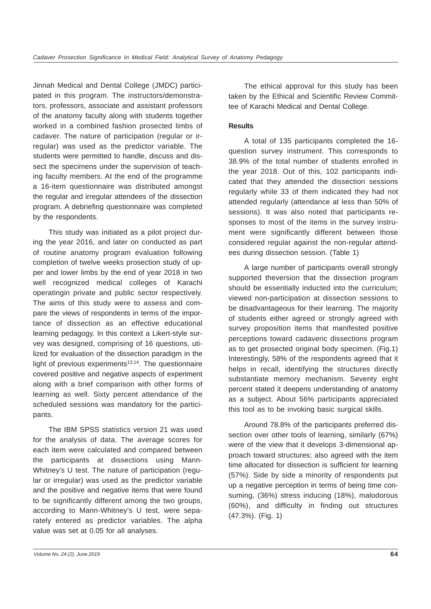Jinnah Medical and Dental College (JMDC) participated in this program. The instructors/demonstrators, professors, associate and assistant professors of the anatomy faculty along with students together worked in a combined fashion prosected limbs of cadaver. The nature of participation (regular or irregular) was used as the predictor variable. The students were permitted to handle, discuss and dissect the specimens under the supervision of teaching faculty members. At the end of the programme a 16-item questionnaire was distributed amongst the regular and irregular attendees of the dissection program. A debriefing questionnaire was completed by the respondents.

This study was initiated as a pilot project during the year 2016, and later on conducted as part of routine anatomy program evaluation following completion of twelve weeks prosection study of upper and lower limbs by the end of year 2018 in two well recognized medical colleges of Karachi operatingin private and public sector respectively. The aims of this study were to assess and compare the views of respondents in terms of the importance of dissection as an effective educational learning pedagogy. In this context a Likert-style survey was designed, comprising of 16 questions, utilized for evaluation of the dissection paradigm in the light of previous experiments $13,14$ . The questionnaire covered positive and negative aspects of experiment along with a brief comparison with other forms of learning as well. Sixty percent attendance of the scheduled sessions was mandatory for the participants.

The IBM SPSS statistics version 21 was used for the analysis of data. The average scores for each item were calculated and compared between the participants at dissections using Mann-Whitney's U test. The nature of participation (regular or irregular) was used as the predictor variable and the positive and negative items that were found to be significantly different among the two groups, according to Mann-Whitney's U test, were separately entered as predictor variables. The alpha value was set at 0.05 for all analyses.

The ethical approval for this study has been taken by the Ethical and Scientific Review Committee of Karachi Medical and Dental College.

# **Results**

A total of 135 participants completed the 16 question survey instrument. This corresponds to 38.9% of the total number of students enrolled in the year 2018. Out of this, 102 participants indicated that they attended the dissection sessions regularly while 33 of them indicated they had not attended regularly (attendance at less than 50% of sessions). It was also noted that participants responses to most of the items in the survey instrument were significantly different between those considered regular against the non-regular attendees during dissection session. (Table 1)

A large number of participants overall strongly supported theversion that the dissection program should be essentially inducted into the curriculum; viewed non-participation at dissection sessions to be disadvantageous for their learning. The majority of students either agreed or strongly agreed with survey proposition items that manifested positive perceptions toward cadaveric dissections program as to get prosected original body specimen. (Fig.1) Interestingly, 58% of the respondents agreed that it helps in recall, identifying the structures directly substantiate memory mechanism. Seventy eight percent stated it deepens understanding of anatomy as a subject. About 56% participants appreciated this tool as to be invoking basic surgical skills.

Around 78.8% of the participants preferred dissection over other tools of learning, similarly (67%) were of the view that it develops 3-dimensional approach toward structures; also agreed with the item time allocated for dissection is sufficient for learning (57%). Side by side a minority of respondents put up a negative perception in terms of being time consuming, (36%) stress inducing (18%), malodorous (60%), and difficulty in finding out structures (47.3%). (Fig. 1)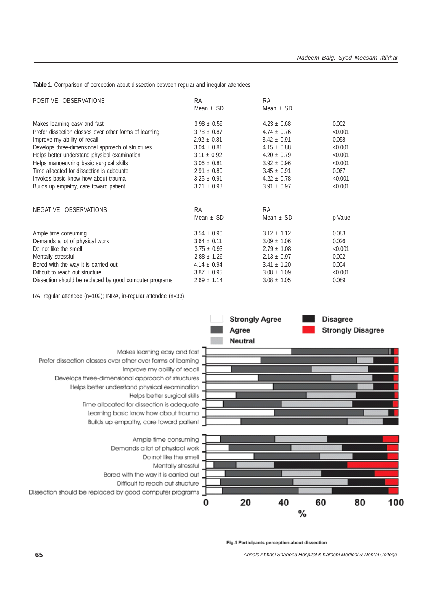**Table 1.** Comparison of perception about dissection between regular and irregular attendees

| POSITIVE OBSERVATIONS                                   | RA              | <b>RA</b>       |         |
|---------------------------------------------------------|-----------------|-----------------|---------|
|                                                         | Mean $\pm$ SD   | Mean $\pm$ SD   |         |
| Makes learning easy and fast                            | $3.98 \pm 0.59$ | $4.23 \pm 0.68$ | 0.002   |
| Prefer dissection classes over other forms of learning  | $3.78 \pm 0.87$ | $4.74 \pm 0.76$ | < 0.001 |
| Improve my ability of recall                            | $2.92 \pm 0.81$ | $3.42 \pm 0.91$ | 0.058   |
| Develops three-dimensional approach of structures       | $3.04 \pm 0.81$ | $4.15 \pm 0.88$ | < 0.001 |
| Helps better understand physical examination            | $3.11 \pm 0.92$ | $4.20 \pm 0.79$ | < 0.001 |
| Helps manoeuvring basic surgical skills                 | $3.06 \pm 0.81$ | $3.92 \pm 0.96$ | < 0.001 |
| Time allocated for dissection is adequate               | $2.91 \pm 0.80$ | $3.45 \pm 0.91$ | 0.067   |
| Invokes basic know how about trauma                     | $3.25 \pm 0.91$ | $4.22 \pm 0.78$ | < 0.001 |
| Builds up empathy, care toward patient                  | $3.21 \pm 0.98$ | $3.91 \pm 0.97$ | < 0.001 |
| NEGATIVE OBSERVATIONS                                   | <b>RA</b>       | <b>RA</b>       |         |
|                                                         | Mean $\pm$ SD   | Mean $\pm$ SD   | p-Value |
| Ample time consuming                                    | $3.54 \pm 0.90$ | $3.12 \pm 1.12$ | 0.083   |
| Demands a lot of physical work                          | $3.64 \pm 0.11$ | $3.09 \pm 1.06$ | 0.026   |
| Do not like the smell                                   | $3.75 \pm 0.93$ | $2.79 \pm 1.08$ | < 0.001 |
| Mentally stressful                                      | $2.88 \pm 1.26$ | $2.13 \pm 0.97$ | 0.002   |
| Bored with the way it is carried out                    | $4.14 \pm 0.94$ | $3.41 \pm 1.20$ | 0.004   |
| Difficult to reach out structure                        | $3.87 \pm 0.95$ | $3.08 \pm 1.09$ | < 0.001 |
| Dissection should be replaced by good computer programs | $2.69 \pm 1.14$ | $3.08 \pm 1.05$ | 0.089   |

RA, regular attendee (n=102); INRA, irr-regular attendee (n=33).



Fig.1 Participants perception about dissection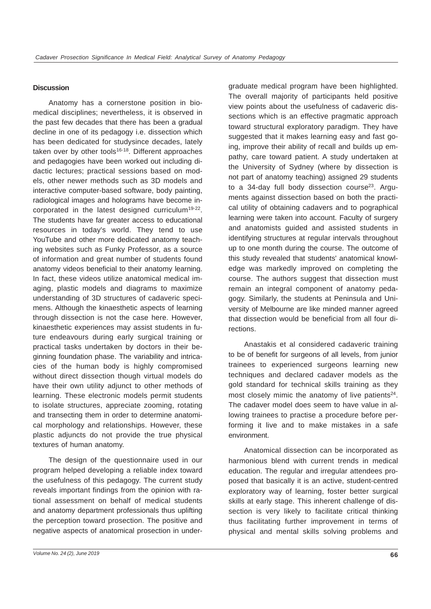#### **Discussion**

Anatomy has a cornerstone position in biomedical disciplines; nevertheless, it is observed in the past few decades that there has been a gradual decline in one of its pedagogy i.e. dissection which has been dedicated for studysince decades, lately taken over by other tools<sup>16-18</sup>. Different approaches and pedagogies have been worked out including didactic lectures; practical sessions based on models, other newer methods such as 3D models and interactive computer-based software, body painting, radiological images and holograms have become incorporated in the latest designed curriculum<sup>19-22</sup>. The students have far greater access to educational resources in today's world. They tend to use YouTube and other more dedicated anatomy teaching websites such as Funky Professor, as a source of information and great number of students found anatomy videos beneficial to their anatomy learning. In fact, these videos utilize anatomical medical imaging, plastic models and diagrams to maximize understanding of 3D structures of cadaveric specimens. Although the kinaesthetic aspects of learning through dissection is not the case here. However, kinaesthetic experiences may assist students in future endeavours during early surgical training or practical tasks undertaken by doctors in their beginning foundation phase. The variability and intricacies of the human body is highly compromised without direct dissection though virtual models do have their own utility adjunct to other methods of learning. These electronic models permit students to isolate structures, appreciate zooming, rotating and transecting them in order to determine anatomical morphology and relationships. However, these plastic adjuncts do not provide the true physical textures of human anatomy.

The design of the questionnaire used in our program helped developing a reliable index toward the usefulness of this pedagogy. The current study reveals important findings from the opinion with rational assessment on behalf of medical students and anatomy department professionals thus uplifting the perception toward prosection. The positive and negative aspects of anatomical prosection in undergraduate medical program have been highlighted. The overall majority of participants held positive view points about the usefulness of cadaveric dissections which is an effective pragmatic approach toward structural exploratory paradigm. They have suggested that it makes learning easy and fast going, improve their ability of recall and builds up empathy, care toward patient. A study undertaken at the University of Sydney (where by dissection is not part of anatomy teaching) assigned 29 students to a 34-day full body dissection course<sup>23</sup>. Arguments against dissection based on both the practical utility of obtaining cadavers and to pographical learning were taken into account. Faculty of surgery and anatomists guided and assisted students in identifying structures at regular intervals throughout up to one month during the course. The outcome of this study revealed that students' anatomical knowledge was markedly improved on completing the course. The authors suggest that dissection must remain an integral component of anatomy pedagogy. Similarly, the students at Peninsula and University of Melbourne are like minded manner agreed that dissection would be beneficial from all four directions.

Anastakis et al considered cadaveric training to be of benefit for surgeons of all levels, from junior trainees to experienced surgeons learning new techniques and declared cadaver models as the gold standard for technical skills training as they most closely mimic the anatomy of live patients $24$ . The cadaver model does seem to have value in allowing trainees to practise a procedure before performing it live and to make mistakes in a safe environment.

Anatomical dissection can be incorporated as harmonious blend with current trends in medical education. The regular and irregular attendees proposed that basically it is an active, student-centred exploratory way of learning, foster better surgical skills at early stage. This inherent challenge of dissection is very likely to facilitate critical thinking thus facilitating further improvement in terms of physical and mental skills solving problems and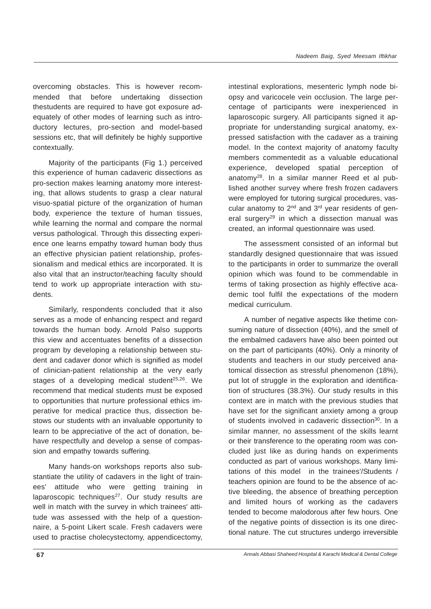overcoming obstacles. This is however recommended that before undertaking dissection thestudents are required to have got exposure adequately of other modes of learning such as introductory lectures, pro-section and model-based sessions etc, that will definitely be highly supportive contextually.

Majority of the participants (Fig 1.) perceived this experience of human cadaveric dissections as pro-section makes learning anatomy more interesting, that allows students to grasp a clear natural visuo-spatial picture of the organization of human body, experience the texture of human tissues, while learning the normal and compare the normal versus pathological. Through this dissecting experience one learns empathy toward human body thus an effective physician patient relationship, professionalism and medical ethics are incorporated. It is also vital that an instructor/teaching faculty should tend to work up appropriate interaction with students.

Similarly, respondents concluded that it also serves as a mode of enhancing respect and regard towards the human body. Arnold Palso supports this view and accentuates benefits of a dissection program by developing a relationship between student and cadaver donor which is signified as model of clinician-patient relationship at the very early stages of a developing medical student<sup>25,26</sup>. We recommend that medical students must be exposed to opportunities that nurture professional ethics imperative for medical practice thus, dissection bestows our students with an invaluable opportunity to learn to be appreciative of the act of donation, behave respectfully and develop a sense of compassion and empathy towards suffering.

Many hands-on workshops reports also substantiate the utility of cadavers in the light of trainees' attitude who were getting training in  $laparoscopic techniques<sup>27</sup>. Our study results are$ well in match with the survey in which trainees' attitude was assessed with the help of a questionnaire, a 5-point Likert scale. Fresh cadavers were used to practise cholecystectomy, appendicectomy,

intestinal explorations, mesenteric lymph node biopsy and varicocele vein occlusion. The large percentage of participants were inexperienced in laparoscopic surgery. All participants signed it appropriate for understanding surgical anatomy, expressed satisfaction with the cadaver as a training model. In the context majority of anatomy faculty members commentedit as a valuable educational experience, developed spatial perception of anatomy28. In a similar manner Reed et al published another survey where fresh frozen cadavers were employed for tutoring surgical procedures, vascular anatomy to  $2^{nd}$  and  $3^{rd}$  year residents of general surgery<sup>29</sup> in which a dissection manual was created, an informal questionnaire was used.

The assessment consisted of an informal but standardly designed questionnaire that was issued to the participants in order to summarize the overall opinion which was found to be commendable in terms of taking prosection as highly effective academic tool fulfil the expectations of the modern medical curriculum.

A number of negative aspects like thetime consuming nature of dissection (40%), and the smell of the embalmed cadavers have also been pointed out on the part of participants (40%). Only a minority of students and teachers in our study perceived anatomical dissection as stressful phenomenon (18%), put lot of struggle in the exploration and identification of structures (38.3%). Our study results in this context are in match with the previous studies that have set for the significant anxiety among a group of students involved in cadaveric dissection<sup>30</sup>. In a similar manner, no assessment of the skills learnt or their transference to the operating room was concluded just like as during hands on experiments conducted as part of various workshops. Many limitations of this model in the trainees'/Students / teachers opinion are found to be the absence of active bleeding, the absence of breathing perception and limited hours of working as the cadavers tended to become malodorous after few hours. One of the negative points of dissection is its one directional nature. The cut structures undergo irreversible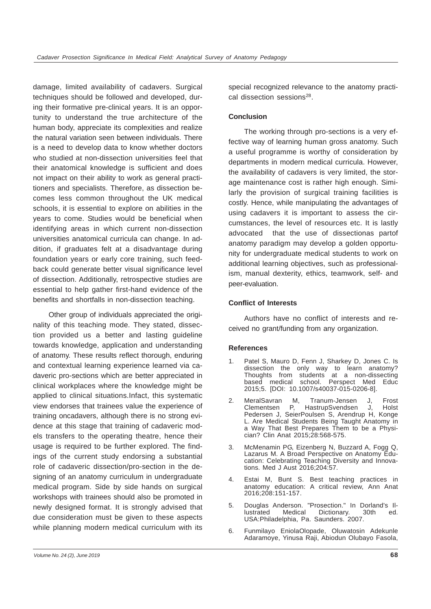damage, limited availability of cadavers. Surgical techniques should be followed and developed, during their formative pre-clinical years. It is an opportunity to understand the true architecture of the human body, appreciate its complexities and realize the natural variation seen between individuals. There is a need to develop data to know whether doctors who studied at non-dissection universities feel that their anatomical knowledge is sufficient and does not impact on their ability to work as general practitioners and specialists. Therefore, as dissection becomes less common throughout the UK medical schools, it is essential to explore on abilities in the years to come. Studies would be beneficial when identifying areas in which current non-dissection universities anatomical curricula can change. In addition, if graduates felt at a disadvantage during foundation years or early core training, such feedback could generate better visual significance level of dissection. Additionally, retrospective studies are essential to help gather first-hand evidence of the benefits and shortfalls in non-dissection teaching.

Other group of individuals appreciated the originality of this teaching mode. They stated, dissection provided us a better and lasting guideline towards knowledge, application and understanding of anatomy. These results reflect thorough, enduring and contextual learning experience learned via cadaveric pro-sections which are better appreciated in clinical workplaces where the knowledge might be applied to clinical situations.Infact, this systematic view endorses that trainees value the experience of training oncadavers, although there is no strong evidence at this stage that training of cadaveric models transfers to the operating theatre, hence their usage is required to be further explored. The findings of the current study endorsing a substantial role of cadaveric dissection/pro-section in the designing of an anatomy curriculum in undergraduate medical program. Side by side hands on surgical workshops with trainees should also be promoted in newly designed format. It is strongly advised that due consideration must be given to these aspects while planning modern medical curriculum with its

special recognized relevance to the anatomy practical dissection sessions<sup>28</sup>.

## **Conclusion**

The working through pro-sections is a very effective way of learning human gross anatomy. Such a useful programme is worthy of consideration by departments in modern medical curricula. However, the availability of cadavers is very limited, the storage maintenance cost is rather high enough. Similarly the provision of surgical training facilities is costly. Hence, while manipulating the advantages of using cadavers it is important to assess the circumstances, the level of resources etc. It is lastly advocated that the use of dissectionas partof anatomy paradigm may develop a golden opportunity for undergraduate medical students to work on additional learning objectives, such as professionalism, manual dexterity, ethics, teamwork, self- and peer-evaluation.

# **Conflict of Interests**

Authors have no conflict of interests and received no grant/funding from any organization.

## **References**

- 1. Patel S, Mauro D, Fenn J, Sharkey D, Jones C. Is dissection the only way to learn anatomy? Thoughts from students at a non-dissecting<br>based medical school. Perspect Med Educ based medical school. Perspect Med Educ 2015;5. [DOI: 10.1007/s40037-015-0206-8].
- 2. MeralSavran M, Tranum-Jensen J, Frost Clementsen P, HastrupSvendsen J, Holst Pedersen J, SeierPoulsen S, Arendrup H, Konge L. Are Medical Students Being Taught Anatomy in a Way That Best Prepares Them to be a Physician? Clin Anat 2015;28:568-575.
- 3. McMenamin PG, Eizenberg N, Buzzard A, Fogg Q, Lazarus M. A Broad Perspective on Anatomy Education: Celebrating Teaching Diversity and Innovations. Med J Aust 2016;204:57.
- 4. Estai M, Bunt S. Best teaching practices in anatomy education: A critical review, Ann Anat 2016;208:151-157.
- 5. Douglas Anderson. "Prosection." In Dorland's Illustrated Medical Dictionary. 30th ed. USA:Philadelphia, Pa. Saunders. 2007.
- 6. Funmilayo EniolaOlopade, Oluwatosin Adekunle Adaramoye, Yinusa Raji, Abiodun Olubayo Fasola,